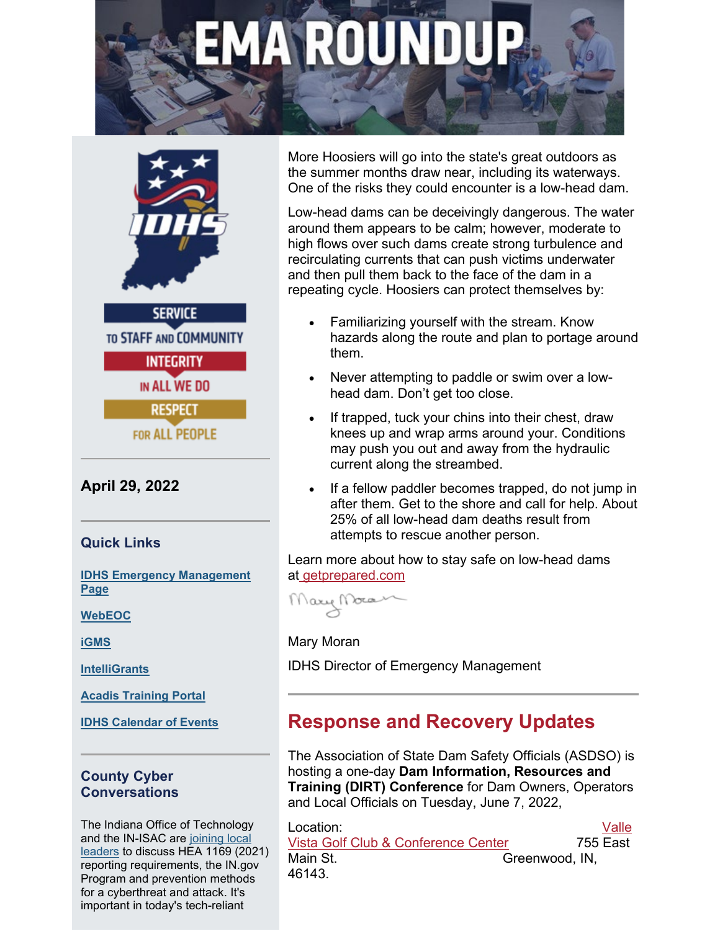# A ROI



**SERVICE TO STAFF AND COMMUNITY INTEGRITY** IN ALL WE DO **RESPECT FOR ALL PEOPLE** 

**April 29, 2022**

**Quick Links**

**[IDHS Emergency Management](https://www.in.gov/dhs/4197.htm?utm_medium=email&utm_source=govdelivery)  [Page](https://www.in.gov/dhs/4197.htm?utm_medium=email&utm_source=govdelivery)**

**[WebEOC](https://webeoc.in.gov/eoc7/?utm_medium=email&utm_source=govdelivery)**

**[iGMS](https://oas.dhs.in.gov/hs/main.do?utm_medium=email&utm_source=govdelivery)**

**[IntelliGrants](https://intelligrants.in.gov/Login2.aspx?APPTHEME=INGRT&utm_medium=email&utm_source=govdelivery)**

**[Acadis Training Portal](https://acadisportal.in.gov/AcadisViewer/Login.aspx?utm_medium=email&utm_source=govdelivery)**

**[IDHS Calendar of Events](https://events.in.gov/dhs?utm_medium=email&utm_source=govdelivery)**

#### **County Cyber Conversations**

The Indiana Office of Technology and the IN-ISAC are [joining local](https://protect2.fireeye.com/v1/url?k=31323334-50bba2bf-31367a34-4544474f5631-6b2854399f576121&q=1&e=b49b5fc0-d25c-4c45-b1ae-16d060e53523&u=https%3A%2F%2Fcontent.govdelivery.com%2Fattachments%2FINDHS%2F2022%2F03%2F11%2Ffile_attachments%2F2100644%2FIOT%2520and%2520IN-ISAC.pdf)  [leaders](https://protect2.fireeye.com/v1/url?k=31323334-50bba2bf-31367a34-4544474f5631-6b2854399f576121&q=1&e=b49b5fc0-d25c-4c45-b1ae-16d060e53523&u=https%3A%2F%2Fcontent.govdelivery.com%2Fattachments%2FINDHS%2F2022%2F03%2F11%2Ffile_attachments%2F2100644%2FIOT%2520and%2520IN-ISAC.pdf) to discuss HEA 1169 (2021) reporting requirements, the IN.gov Program and prevention methods for a cyberthreat and attack. It's important in today's tech-reliant

More Hoosiers will go into the state's great outdoors as the summer months draw near, including its waterways. One of the risks they could encounter is a low-head dam.

Low-head dams can be deceivingly dangerous. The water around them appears to be calm; however, moderate to high flows over such dams create strong turbulence and recirculating currents that can push victims underwater and then pull them back to the face of the dam in a repeating cycle. Hoosiers can protect themselves by:

- Familiarizing yourself with the stream. Know hazards along the route and plan to portage around them.
- Never attempting to paddle or swim over a lowhead dam. Don't get too close.
- If trapped, tuck your chins into their chest, draw knees up and wrap arms around your. Conditions may push you out and away from the hydraulic current along the streambed.
- If a fellow paddler becomes trapped, do not jump in after them. Get to the shore and call for help. About 25% of all low-head dam deaths result from attempts to rescue another person.

Learn more about how to stay safe on low-head dams at [getprepared.com](https://www.in.gov/dhs/get-prepared/nature-safety/low-head-dam-safety/?utm_medium=email&utm_source=govdelivery)

Mary Mora

Mary Moran

IDHS Director of Emergency Management

## **Response and Recovery Updates**

The Association of State Dam Safety Officials (ASDSO) is hosting a one-day **Dam Information, Resources and Training (DIRT) Conference** for Dam Owners, Operators and Local Officials on Tuesday, June 7, 2022,

| Location:                           |                | Valle |
|-------------------------------------|----------------|-------|
| Vista Golf Club & Conference Center | 755 East       |       |
| Main St.                            | Greenwood, IN. |       |
| 46143.                              |                |       |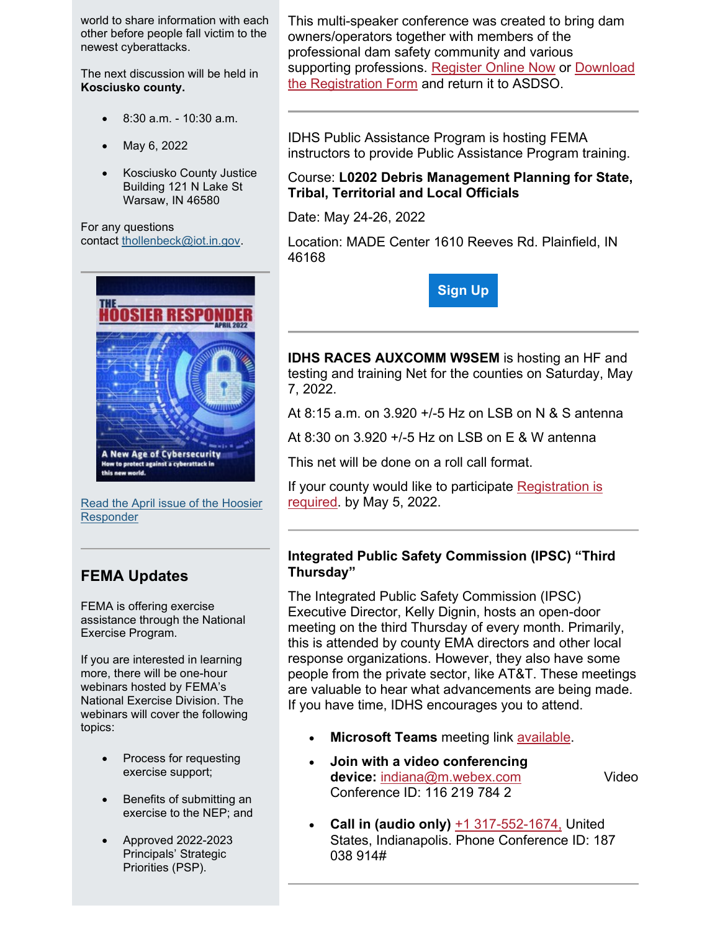world to share information with each other before people fall victim to the newest cyberattacks.

The next discussion will be held in **Kosciusko county.**

- 8:30 a.m. 10:30 a.m.
- May 6, 2022
- Kosciusko County Justice Building 121 N Lake St Warsaw, IN 46580

For any questions contact [thollenbeck@iot.in.gov.](mailto:thollenbeck@iot.in.gov)



[Read the April issue of the Hoosier](https://www.in.gov/dhs/2397.htm?utm_medium=email&utm_source=govdelivery)  **[Responder](https://www.in.gov/dhs/2397.htm?utm_medium=email&utm_source=govdelivery)** 

## **FEMA Updates**

FEMA is offering exercise assistance through the National Exercise Program.

If you are interested in learning more, there will be one-hour webinars hosted by FEMA's National Exercise Division. The webinars will cover the following topics:

- Process for requesting exercise support;
- Benefits of submitting an exercise to the NEP; and
- Approved 2022-2023 Principals' Strategic Priorities (PSP).

This multi-speaker conference was created to bring dam owners/operators together with members of the professional dam safety community and various supporting professions. [Register Online Now](https://protect2.fireeye.com/v1/url?k=31323334-50bba2bf-31367a34-4544474f5631-a55101c62ae8115d&q=1&e=b49b5fc0-d25c-4c45-b1ae-16d060e53523&u=https%3A%2F%2Fportal.damsafety.org%2Fevents%2Fevent-registration%2F%3Fid%3Dba8d1e6b-3fb4-ec11-826d-0003fff82133%26utm_medium%3Demail%26utm_source%3Dgovdelivery) or [Download](https://protect2.fireeye.com/v1/url?k=31323334-50bba2bf-31367a34-4544474f5631-f8ace5623608ffcf&q=1&e=b49b5fc0-d25c-4c45-b1ae-16d060e53523&u=https%3A%2F%2Fwww.damsafety.org%2Fcontent%2Fdirt-registration-form%3Futm_medium%3Demail%26utm_source%3Dgovdelivery)  [the Registration Form](https://protect2.fireeye.com/v1/url?k=31323334-50bba2bf-31367a34-4544474f5631-f8ace5623608ffcf&q=1&e=b49b5fc0-d25c-4c45-b1ae-16d060e53523&u=https%3A%2F%2Fwww.damsafety.org%2Fcontent%2Fdirt-registration-form%3Futm_medium%3Demail%26utm_source%3Dgovdelivery) and return it to ASDSO.

IDHS Public Assistance Program is hosting FEMA instructors to provide Public Assistance Program training.

#### Course: **L0202 Debris Management Planning for State, Tribal, Territorial and Local Officials**

Date: May 24-26, 2022

Location: MADE Center 1610 Reeves Rd. Plainfield, IN 46168



**IDHS RACES AUXCOMM W9SEM** is hosting an HF and testing and training Net for the counties on Saturday, May 7, 2022.

At 8:15 a.m. on 3.920 +/-5 Hz on LSB on N & S antenna

At 8:30 on 3.920 +/-5 Hz on LSB on E & W antenna

This net will be done on a roll call format.

If your county would like to participate [Registration is](https://lnks.gd/l/eyJhbGciOiJIUzI1NiJ9.eyJidWxsZXRpbl9saW5rX2lkIjoxMTQsInVyaSI6ImJwMjpjbGljayIsImJ1bGxldGluX2lkIjoiMjAyMjAzMjUuNTU0NTQ2NzEiLCJ1cmwiOiJodHRwczovL2Zvcm1zLm9mZmljZS5jb20vUGFnZXMvUmVzcG9uc2VQYWdlLmFzcHg_aWQ9dXItWklRbWtFMC13eEJpMFdUUFlqVTI2M3pncmZCUkRoLWZ3RTlwZl91SlVRemxYVXpKUE9FaElWazg0TmpBNU4wUlhOVnBKUVU1WVNDNHUmdXRtX21lZGl1bT1lbWFpbCZ1dG1fc291cmNlPWdvdmRlbGl2ZXJ5In0.oFopKf_yMo1IiPmX1wvYWmt6BBYd1QH9TTYxo9wTYBY/s/823877603/br/128665478583-l?utm_medium=email&utm_source=govdelivery)  [required.](https://lnks.gd/l/eyJhbGciOiJIUzI1NiJ9.eyJidWxsZXRpbl9saW5rX2lkIjoxMTQsInVyaSI6ImJwMjpjbGljayIsImJ1bGxldGluX2lkIjoiMjAyMjAzMjUuNTU0NTQ2NzEiLCJ1cmwiOiJodHRwczovL2Zvcm1zLm9mZmljZS5jb20vUGFnZXMvUmVzcG9uc2VQYWdlLmFzcHg_aWQ9dXItWklRbWtFMC13eEJpMFdUUFlqVTI2M3pncmZCUkRoLWZ3RTlwZl91SlVRemxYVXpKUE9FaElWazg0TmpBNU4wUlhOVnBKUVU1WVNDNHUmdXRtX21lZGl1bT1lbWFpbCZ1dG1fc291cmNlPWdvdmRlbGl2ZXJ5In0.oFopKf_yMo1IiPmX1wvYWmt6BBYd1QH9TTYxo9wTYBY/s/823877603/br/128665478583-l?utm_medium=email&utm_source=govdelivery) by May 5, 2022.

#### **Integrated Public Safety Commission (IPSC) "Third Thursday"**

The Integrated Public Safety Commission (IPSC) Executive Director, Kelly Dignin, hosts an open-door meeting on the third Thursday of every month. Primarily, this is attended by county EMA directors and other local response organizations. However, they also have some people from the private sector, like AT&T. These meetings are valuable to hear what advancements are being made. If you have time, IDHS encourages you to attend.

- **Microsoft Teams** meeting link [available.](https://protect2.fireeye.com/v1/url?k=31323334-50bba2bf-31367a34-4544474f5631-139413c56841289d&q=1&e=b49b5fc0-d25c-4c45-b1ae-16d060e53523&u=https%3A%2F%2Fteams.microsoft.com%2Fl%2Fmeetup-join%2F19%253ameeting_ODY5NDc1NWMtNTVhNC00NDc2LWEzMWUtNTU5YmY2MTYzMmUx%2540thread.v2%2F0%3Fcontext%3D%257B%2522Tid%2522%253A%25222199bfba-a409-4f13-b0c4-18b45933d88d%2522%252C%2522Oid%2522%253A%2522b7431152-14c3-4868-9dbe-071fd303d17f%2522%257D%26utm_medium%3Demail%26utm_source%3Dgovdelivery)
- **Join with a video conferencing device:** [indiana@m.webex.com](mailto:indiana@m.webex.com) Video Conference ID: 116 219 784 2
- **Call in (audio only)** [+1 317-552-1674,](tel:+13175521674,,187038914#%20) United States, Indianapolis. Phone Conference ID: 187 038 914#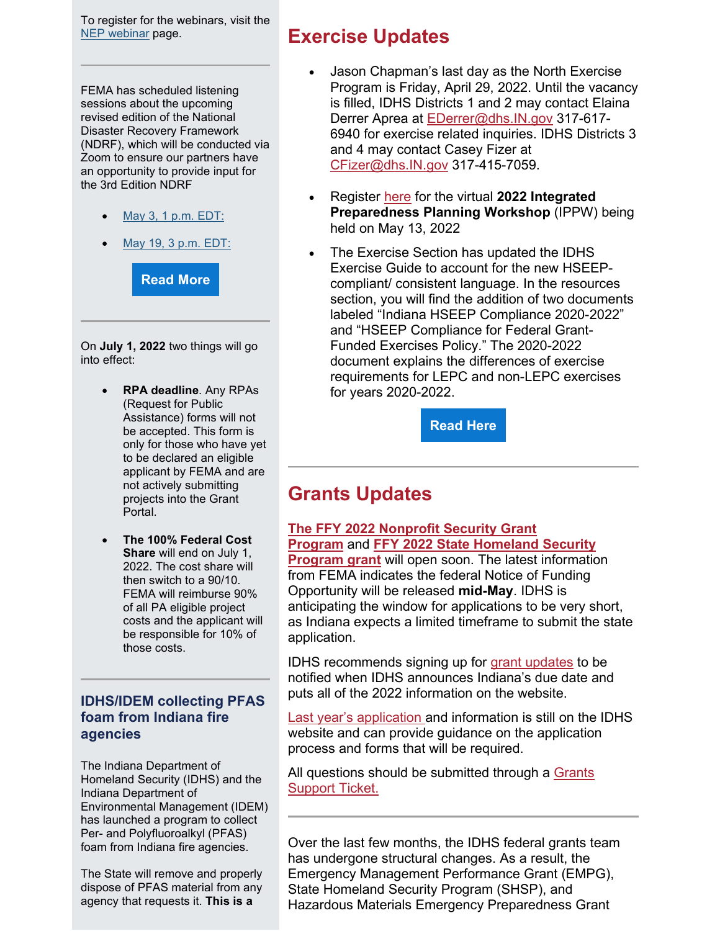To register for the webinars, visit the [NEP webinar](https://lnks.gd/l/eyJhbGciOiJIUzI1NiJ9.eyJidWxsZXRpbl9saW5rX2lkIjoxMDEsInVyaSI6ImJwMjpjbGljayIsImJ1bGxldGluX2lkIjoiMjAyMjAyMTUuNTM0NTk2OTEiLCJ1cmwiOiJodHRwczovL2ZlbWEuY29ubmVjdHNvbHV0aW9ucy5jb20vYWRtaW4vc2hvdy1ldmVudC1jYXRhbG9nP2ZvbGRlci1pZD0xNzQ1NTY0MTEifQ.B30rMSn0mSv-1wEwKIDI6XkSOJWOtxhXDphbq90OitI/s/1052943618/br/126660129283-l?utm_medium=email&utm_source=govdelivery) page.

FEMA has scheduled listening sessions about the upcoming revised edition of the National Disaster Recovery Framework (NDRF), which will be conducted via Zoom to ensure our partners have an opportunity to provide input for the 3rd Edition NDRF

- [May 3, 1 p.m. EDT:](https://www.eventbrite.com/e/323311201507?utm_medium=email&utm_source=govdelivery)
- [May 19, 3 p.m. EDT:](https://www.eventbrite.com/e/323340609467?utm_medium=email&utm_source=govdelivery)

**[Read More](https://protect2.fireeye.com/v1/url?k=31323334-50bba2bf-31367a34-4544474f5631-fa0870036ca0b3c2&q=1&e=b49b5fc0-d25c-4c45-b1ae-16d060e53523&u=https%3A%2F%2Fcontent.govdelivery.com%2Fattachments%2FINDHS%2F2022%2F04%2F29%2Ffile_attachments%2F2145248%2FFEMA%2520Advisory%2520NDRF%2520listening%2520sessions_2022.04.20.pdf)**

On **July 1, 2022** two things will go into effect:

- **RPA deadline**. Any RPAs (Request for Public Assistance) forms will not be accepted. This form is only for those who have yet to be declared an eligible applicant by FEMA and are not actively submitting projects into the Grant Portal.
- **The 100% Federal Cost Share** will end on July 1, 2022. The cost share will then switch to a 90/10. FEMA will reimburse 90% of all PA eligible project costs and the applicant will be responsible for 10% of those costs.

#### **IDHS/IDEM collecting PFAS foam from Indiana fire agencies**

The Indiana Department of Homeland Security (IDHS) and the Indiana Department of Environmental Management (IDEM) has launched a program to collect Per- and Polyfluoroalkyl (PFAS) foam from Indiana fire agencies.

The State will remove and properly dispose of PFAS material from any agency that requests it. **This is a** 

## **Exercise Updates**

- Jason Chapman's last day as the North Exercise Program is Friday, April 29, 2022. Until the vacancy is filled, IDHS Districts 1 and 2 may contact Elaina Derrer Aprea at [EDerrer@dhs.IN.gov](mailto:EDerrer@dhs.IN.gov) 317-617-6940 for exercise related inquiries. IDHS Districts 3 and 4 may contact Casey Fizer at [CFizer@dhs.IN.gov](mailto:CFizer@dhs.IN.gov) 317-415-7059.
- Register [here](https://app.smartsheet.com/b/form/caf148ee83354fff83341dbcadf7872a?utm_medium=email&utm_source=govdelivery) for the virtual **2022 Integrated Preparedness Planning Workshop** (IPPW) being held on May 13, 2022
- The Exercise Section has updated the IDHS Exercise Guide to account for the new HSEEPcompliant/ consistent language. In the resources section, you will find the addition of two documents labeled "Indiana HSEEP Compliance 2020-2022" and "HSEEP Compliance for Federal Grant-Funded Exercises Policy." The 2020-2022 document explains the differences of exercise requirements for LEPC and non-LEPC exercises for years 2020-2022.

**[Read Here](https://www.in.gov/dhs/files/IDHS-Exercise-Guide.pdf?utm_medium=email&utm_source=govdelivery)**

# **Grants Updates**

#### **[The FFY 2022 Nonprofit Security Grant](https://protect2.fireeye.com/v1/url?k=31323334-50bba2bf-31367a34-4544474f5631-5eae6b7366429052&q=1&e=b49b5fc0-d25c-4c45-b1ae-16d060e53523&u=https%3A%2F%2Fcontent.govdelivery.com%2Fattachments%2FINDHS%2F2022%2F04%2F28%2Ffile_attachments%2F2143933%2FFFY%25202022%2520Nonprofit%2520Security%2520Grant%2520Program.docx)  [Program](https://protect2.fireeye.com/v1/url?k=31323334-50bba2bf-31367a34-4544474f5631-5eae6b7366429052&q=1&e=b49b5fc0-d25c-4c45-b1ae-16d060e53523&u=https%3A%2F%2Fcontent.govdelivery.com%2Fattachments%2FINDHS%2F2022%2F04%2F28%2Ffile_attachments%2F2143933%2FFFY%25202022%2520Nonprofit%2520Security%2520Grant%2520Program.docx)** and **[FFY 2022 State Homeland Security](https://protect2.fireeye.com/v1/url?k=31323334-50bba2bf-31367a34-4544474f5631-42d7819c7cd919e4&q=1&e=b49b5fc0-d25c-4c45-b1ae-16d060e53523&u=https%3A%2F%2Fcontent.govdelivery.com%2Fattachments%2FINDHS%2F2022%2F04%2F28%2Ffile_attachments%2F2143949%2FFFY%25202022%2520State%2520Homeland%2520Security%2520Program%2520Application.docx)**

**[Program grant](https://protect2.fireeye.com/v1/url?k=31323334-50bba2bf-31367a34-4544474f5631-42d7819c7cd919e4&q=1&e=b49b5fc0-d25c-4c45-b1ae-16d060e53523&u=https%3A%2F%2Fcontent.govdelivery.com%2Fattachments%2FINDHS%2F2022%2F04%2F28%2Ffile_attachments%2F2143949%2FFFY%25202022%2520State%2520Homeland%2520Security%2520Program%2520Application.docx)** will open soon. The latest information from FEMA indicates the federal Notice of Funding Opportunity will be released **mid-May**. IDHS is anticipating the window for applications to be very short, as Indiana expects a limited timeframe to submit the state application.

IDHS recommends signing up for [grant updates](https://www.in.gov/dhs/grants-management/grants-management/nonprofit-security-grant-program/?utm_medium=email&utm_source=govdelivery) to be notified when IDHS announces Indiana's due date and puts all of the 2022 information on the website.

[Last year's application a](https://www.in.gov/dhs/grants-management/grants-management/nonprofit-security-grant-program/?utm_medium=email&utm_source=govdelivery)nd information is still on the IDHS website and can provide guidance on the application process and forms that will be required.

All questions should be submitted through a Grants [Support Ticket.](https://www.in.gov/dhs/grants-management/grants-management/?utm_medium=email&utm_source=govdelivery#supportTicket-label.) 

Over the last few months, the IDHS federal grants team has undergone structural changes. As a result, the Emergency Management Performance Grant (EMPG), State Homeland Security Program (SHSP), and Hazardous Materials Emergency Preparedness Grant